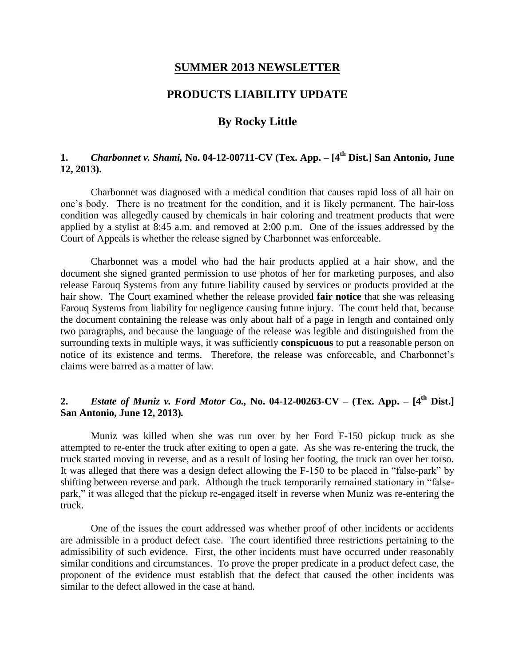#### **SUMMER 2013 NEWSLETTER**

### **PRODUCTS LIABILITY UPDATE**

# **By Rocky Little**

## **1.** *Charbonnet v. Shami,* **No. 04-12-00711-CV (Tex. App. – [4 th Dist.] San Antonio, June 12, 2013).**

Charbonnet was diagnosed with a medical condition that causes rapid loss of all hair on one's body. There is no treatment for the condition, and it is likely permanent. The hair-loss condition was allegedly caused by chemicals in hair coloring and treatment products that were applied by a stylist at 8:45 a.m. and removed at 2:00 p.m. One of the issues addressed by the Court of Appeals is whether the release signed by Charbonnet was enforceable.

Charbonnet was a model who had the hair products applied at a hair show, and the document she signed granted permission to use photos of her for marketing purposes, and also release Farouq Systems from any future liability caused by services or products provided at the hair show. The Court examined whether the release provided **fair notice** that she was releasing Farouq Systems from liability for negligence causing future injury. The court held that, because the document containing the release was only about half of a page in length and contained only two paragraphs, and because the language of the release was legible and distinguished from the surrounding texts in multiple ways, it was sufficiently **conspicuous** to put a reasonable person on notice of its existence and terms. Therefore, the release was enforceable, and Charbonnet's claims were barred as a matter of law.

## **2.** *Estate of Muniz v. Ford Motor Co.,* **No. 04-12-00263-CV – (Tex. App. – [4 th Dist.] San Antonio, June 12, 2013)***.*

Muniz was killed when she was run over by her Ford F-150 pickup truck as she attempted to re-enter the truck after exiting to open a gate. As she was re-entering the truck, the truck started moving in reverse, and as a result of losing her footing, the truck ran over her torso. It was alleged that there was a design defect allowing the F-150 to be placed in "false-park" by shifting between reverse and park. Although the truck temporarily remained stationary in "falsepark," it was alleged that the pickup re-engaged itself in reverse when Muniz was re-entering the truck.

One of the issues the court addressed was whether proof of other incidents or accidents are admissible in a product defect case. The court identified three restrictions pertaining to the admissibility of such evidence. First, the other incidents must have occurred under reasonably similar conditions and circumstances. To prove the proper predicate in a product defect case, the proponent of the evidence must establish that the defect that caused the other incidents was similar to the defect allowed in the case at hand.